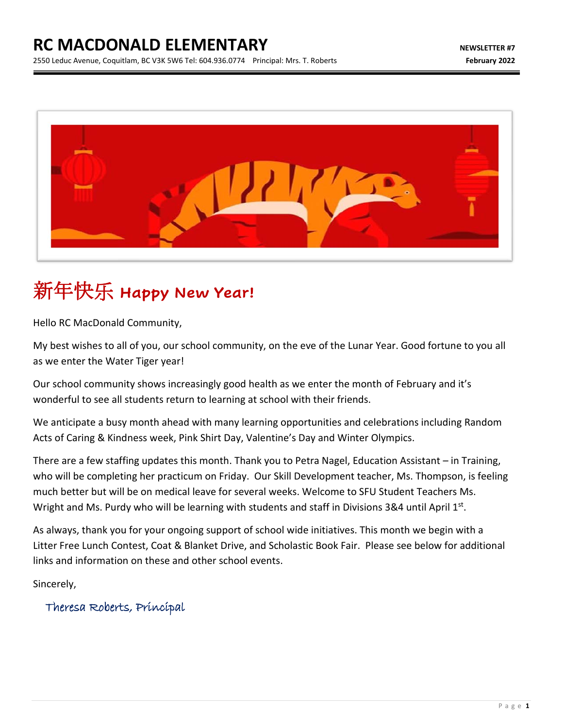

# 新年快乐 **Happy New Year!**

Hello RC MacDonald Community,

My best wishes to all of you, our school community, on the eve of the Lunar Year. Good fortune to you all as we enter the Water Tiger year!

Our school community shows increasingly good health as we enter the month of February and it's wonderful to see all students return to learning at school with their friends.

We anticipate a busy month ahead with many learning opportunities and celebrations including Random Acts of Caring & Kindness week, Pink Shirt Day, Valentine's Day and Winter Olympics.

There are a few staffing updates this month. Thank you to Petra Nagel, Education Assistant – in Training, who will be completing her practicum on Friday. Our Skill Development teacher, Ms. Thompson, is feeling much better but will be on medical leave for several weeks. Welcome to SFU Student Teachers Ms. Wright and Ms. Purdy who will be learning with students and staff in Divisions 3&4 until April 1st.

As always, thank you for your ongoing support of school wide initiatives. This month we begin with a Litter Free Lunch Contest, Coat & Blanket Drive, and Scholastic Book Fair. Please see below for additional links and information on these and other school events.

Sincerely,

Theresa Roberts, Principal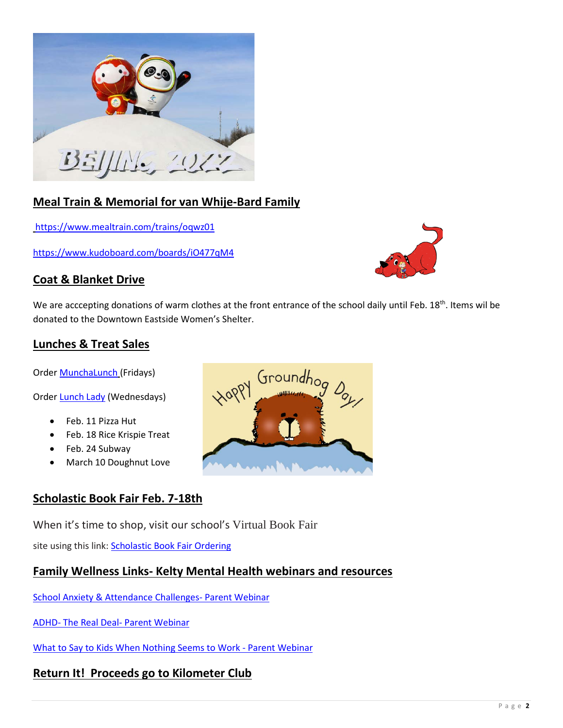

## **Meal Train & Memorial for van Whije-Bard Family**

<https://www.mealtrain.com/trains/oqwz01>

<https://www.kudoboard.com/boards/iO477qM4>



We are acccepting donations of warm clothes at the front entrance of the school daily until Feb.  $18^{th}$ . Items wil be donated to the Downtown Eastside Women's Shelter.

### **Lunches & Treat Sales**

Orde[r MunchaLunch](https://munchalunch.com/login.aspx) (Fridays)

Orde[r Lunch Lady](https://thelunchlady.ca/) (Wednesdays)

- Feb. 11 Pizza Hut
- Feb. 18 Rice Krispie Treat
- Feb. 24 Subway
- March 10 Doughnut Love

#### **Scholastic Book Fair Feb. 7-18th**

When it's time to shop, visit our school's Virtual Book Fair

site using this link: [Scholastic Book Fair Ordering](https://virtualbookfairs.scholastic.ca/pages/5173531)

## **Family Wellness Links- Kelty Mental Health webinars and resources**

[School Anxiety & Attendance Challenges-](https://keltymentalhealth.ca/school-attendance-webinars) Parent Webinar

ADHD- The Real Deal- [Parent Webinar](https://familysmart.ca/event/adhd-the-real-deal/)

[What to Say to Kids When Nothing Seems to Work -](https://familysmart.ca/event/what-to-say-to-kids-and-teens-when-nothing-seems-to-work/) Parent Webinar

## **Return It! Proceeds go to Kilometer Club**